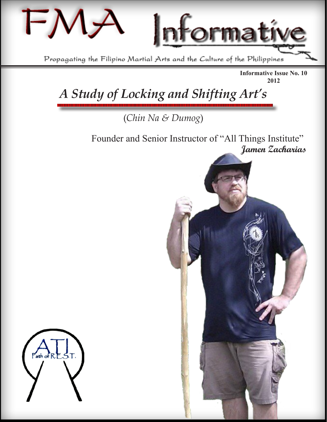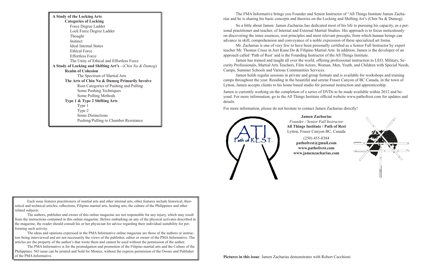| A Study of the Locking Arts                               |
|-----------------------------------------------------------|
| <b>Categories of Locking</b>                              |
| Force Degree Ladder                                       |
| Lock Force Degree Ladder                                  |
| Thought                                                   |
| Instinct                                                  |
| <b>Ideal Internal States</b>                              |
| <b>Ethical Force</b>                                      |
| <b>Effortless Force</b>                                   |
| The Unity of Ethical and Effortless Force                 |
| A Study of Locking and Shifting Art's - (Chin Na & Dumog) |
| <b>Realm of Cohesion</b>                                  |
| The Spectrum of Martial Arts                              |
| The Arts of Chin Na & Dumog Primarily Involve             |
| Root Categories of Pushing and Pulling                    |
| Some Pushing Techniques                                   |
| Some Pulling Methods                                      |
| Type 1 & Type 2 Shifting Arts                             |
| Type 1                                                    |
| Type 2                                                    |
| <b>Some Distinctions</b>                                  |
| Pushing/Pulling to Chamber Resistance                     |

Each issue features practitioners of martial arts and other internal arts, other features include historical, theoretical and technical articles; reflections, Filipino martial arts, healing arts, the culture of the Philippines and other related subjects.

The authors, publisher and owner of this online magazine are not responsible for any injury, which may result from the instructions contained in this online magazine. Before embarking on any of the physical activates described in the magazine, the reader should consult his or her physician for advice regarding their individual suitability for performing such activity.

The ideas and opinions expressed in the PMA Informative online magazine are those of the authors or instructors being interviewed and are not necessarily the views of the publisher, editor or owner of the PMA Informative. The articles are the property of the author's that wrote them and cannot be used without the permission of the author.

The PMA Informative is for the promulgation and promotion of the Filipino martial arts and the Culture of the Philippines. NO issue can be printed and Sold for Monies, without the express permission of the Owner and Publisher of the PMA Informative.

The FMA Informative brings you Founder and Senior Instructor of "All Things Institute Jamen Zacharias and he is sharing his basic concepts and theories on the Locking and Shifting Art's (Chin Na & Dumog).

So a little about Jamen: Jamen Zacharias has dedicated most of his life to pursuing his capacity, as a personal practitioner and teacher, of Internal and External Martial Studies. His approach is to focus meticulously on discovering the inner essences, root principles and most relevant precepts, from which human beings can advance in skill, comprehension and conveyance of a noble expression of these specialized art forms.

Mr. Zacharias is one of very few to have been personally certified as a Senior Full Instructor by expert teacher Mr. Thomas Cruse in Jeet Kune Do & Filipino Martial Arts. In addition, Jamen is the developer of an approach called 'Path of Rest' and is the Founding Instructor of the All Things Institute.

Jamen has trained and taught all over the world, offering professional instruction to LEO, Military, Security Professionals, Martial Arts Teachers, Film Actors, Woman, Men, Youth, and Children with Special Needs, Camps, Summer Schools and Various Communities Services.

Jamen holds regular sessions in private and group formats and is available for workshops and training camps throughout the year. Residing in the beautiful and serene Fraser Canyon of BC Canada, in the town of Lytton, Jamen accepts clients to his home based studio for personal instruction and apprenticeship.

Jamen is currently working on the completion of a series of DVDs to be made available within 2012 and beyond. For more information, go to the All Things Institute official website [www.pathofrest.com](http://www.pathofrest.com/) for updates and details.

For more information, please do not hesitate to contact Jamen Zacharias directly!



**Jamen Zacharias** *Founder / Senior Full Instructor* **All Things Institute / Path of Rest** Lytton, Fraser Canyon BC, Canada

(250) 455-0384 **[pathofrest@gmail.com](mailto:pathofrest@gmail.com) [www.pathofrest.com](http://www.pathofrest.com/) [www.jamenzacharias.com](http://www.jamenzacharias.com/)**

**Pictures in this issue**: Jamen Zacharias demonstrates with Robert Cacchioni

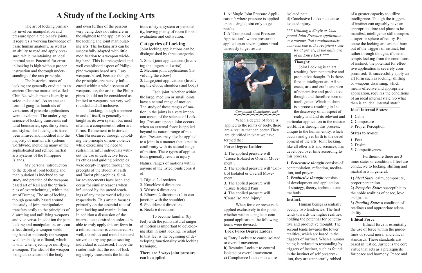# **A Study of the Locking Arts**

<span id="page-2-0"></span>The art of locking primarily involves manipulation and pressure upon a recipient's joints. It requires a working knowledge of basic human anatomy, as well as an ability to read and apply pressure, while maintaining an ideal internal state. Potential for error in locking is high without proper instruction and thorough understanding of the arts principles.

The historical roots of locking are generally credited to an ancient Chinese martial art called Chin Na, which means literally to seize and control. As an ancient form of gung fu, hundreds of variations of possible applications were developed. The underlying science of locking transcends cultural boundaries, specific systems and styles. The locking arts have been infused and modified into the majority of martial arts systems worldwide, including many of the sophisticated and refined martial arts systems of the Philippine Islands.

My personal introduction to the depth of joint locking and manipulation is indebted to my study and practice of the weapons based art of Kali and the 'principles of overwhelming', within the art of Dumog. The art of locking though generally based around the study of joint manipulation, transfers easily to the principles of disarming and nullifying weapons and vice versa. In addition the joint locking and manipulations arts can affect directly a weapon wielding hand or indirectly the weapon wielders body or offhand, which is vital when ejecting or nullifying a weapon. The idea of the weapon being an extension of the body

and even further of the persons very being does not interfere in the slightest to the application of the locking and joint manipulating arts. The locking arts can be successfully adapted with little modification to a weapon wielding hand. This is a recognized and well established aspect of Philippine weapons based arts. I say weapons based, because though the principles are heavily influenced within a whole system of weapons use, the arts of the Philippines should not be considered as limited to weapons, but very well rounded and all inclusive.

Locking, though a science in and of itself, is generally not taught as its own system but most often as a component of other art forms. Refinement in historical Chin Na occurred through upholding the principle of non-violence while exercising the need to restrain harmful individuals without the use of destructive force. Its ethics and guiding principles were deeply inspired through the precepts of the Buddhist Faith and Taoist philosophies. Similar advancements have been and occur for similar reasons when influenced by the sacred teachings of any major world religion respectively. This article focuses primarily on the essential root of joint locking and manipulation. In addition a discussion of the internal state desired in order to be able to truly apply this art form in a refined manner is considered. As well, the ethics and moral standard striven too by any peace seeking individual is addressed. I hope the reader finds that the root of locking deeply transcends the limita-

**a**) Entry Locks = to cause isolated or overall movement. **b**) Restraint Locks = to control isolated or overall movement. **c**) Compliance Locks = to cause

**d**) Conclusive Locks = to cause isolated injury.

tions of style, system or personality, leaving plenty of room for self evaluation and cultivation.

### **Categories of Locking**:

Joint locking applications can be distinguished by three categories:

**1**. Small joint applications (Involving the fingers and wrist) **2**. Medium joint applications (Involving the elbow) **3**. Large joint applications (Involving the elbow, shoulders and body)

Each joint, whether within the large, medium or small joints have a natural range of motion. The study of these ranges of motion in the joints is a very important aspect of the science of Locking. Pressure upon a joint occurs when an external force is applied beyond its natural range of motion. Pressure may also be applied to a joint in a manner that is not in conformity with its natural range of motion. These types of applications generally result in injury.

Natural ranges of motions within anyone of the listed joints consist of:

**1**. Digits: 2 directions

**2**. Knuckles: 4 directions

**3**. Wrists: 6 directions

**4**. Elbows: 2 directions (4 in con-

junction with the shoulder)

**5**. Shoulders: 4 directions

**6**. Neck: 6 directions

To become familiar (by feel) with the joints natural ranges of motion is important to developing skill in joint locking. To adapt to that feel is the beginning of developing functionality with locking technique.

**There are 2 ways joint pressure can be applied**:

**1**. A 'Single Joint Pressure Application': where pressure is applied upon a single joint only to get results.

**2**. A 'Compound Joint Pressure Application': where pressure is applied upon several joints simultaneously to get results.

When a degree of force is applied to the joints or body, there are 4 results that can occur. They are identified in what we have termed the:

## **Force Degree Ladder**:

**1**. The applied pressure will 'Cause Isolated or Overall Movement'.

**2**. The applied pressure will 'Control Isolated or Overall Movement'.

**3**. The applied pressure will 'Cause Isolated Pain'.

**4**. The applied pressure will 'Cause Isolated Injury'.

When force or pressure is applied exclusively to the joints, whether within a single or compound application, the following terms were devised:

#### **Lock Force Degree Ladder**:

isolated pain.

**\*\*\*** *Utilizing a Single or Compound Joint Pressure application in a manner that simultaneously connects one to the recipient's centre of gravity, is the hallmark of an Entry Lock* **\*\*\***

**Thought**:

Joint Locking is an art resulting from penetrative and productive thought. It is therefore an intelligent art. All sciences, arts and crafts are born of penetrative and productive thought and therefore born of intelligence. Which in short is a process resulting in 1st the discovery of an aspect of reality and 2nd its relevant and particular application in the outside world. It is through this process, unique to the human entity, which occurs and gives birth to the development of the arts. Joint locking,

like all other arts and sciences, has developed over time according to this process. **1**. *Penetrative thought* consists of contemplation, reflection, meditation, and prayer. **2**. *Productive thought* consists

of development and application of strategy, theory, technique and methods.

## **Instinct**:

Human beings essentially occupy two tendencies. The first tends towards the higher realities, holding the potential for penetrative and productive thought. The second tends towards the lower realities, which are based in the triggers of instinct. When a human being is reduced to responding by triggers of instinct, such as found in the instinct of self preservation, they are temporarily robbed

of a greater capacity to utilize intelligence. Though the triggers of instinct can arguably have an appropriate time and place to be manifest, intelligence still occupies a superior sphere of reality. Because the locking arts are not born out of the triggers of instinct, but rather through thought, if one attempts locking from the conditions of instinct, the potential for effective application is severely compromised. To successfully apply an art form such as locking, shifting or weapons disarming, which means effective and appropriate application, requires the conditions of an ideal internal state. So what then is an ideal internal state?

## **Ideal Internal States**:

- **1**. Calm
- **2**. Composure
- **3**. Proper Perception

## **States to Avoid**:

- **1**. Fear
- **2**. Desire
- **3**. Competitiveness

Furthermore there are 3 inner states or conditions I feel are conducive to locking, shifting and martial arts in general:

**1**) *Ideal State*: calm, composure, proper perception

**2**) *Receptive State*: susceptible to the noble realities of peace, love and justice

**3**) *Pending State*: a condition of readiness and appropriate adaptability

## **Ethical Force**:

Ethical force is essentially the use of force within the guidelines of sound moral and ethical standards. These standards are based in justice. Justice is the core virtue that acts as a prerequisite for peace and harmony. Peace and



*Compound Compliance lock*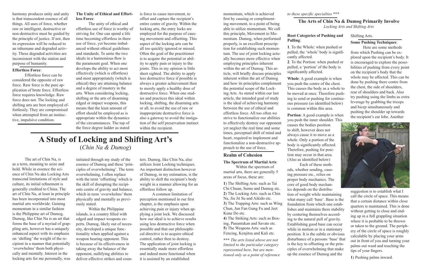<span id="page-3-0"></span>harmony produces unity and unity is that transcendent essence of all things. All uses of force, whether raw or intelligent, destructive or non-destructive must be guided by the principle of justice. If not, then its expression will be reduced to an inhumane and degraded activity. These degraded activities are inconsistent with the station and purpose of humanity.

#### **Effortless Force**:

Effortless force can be considered the opposite of raw force. Raw force is the pure application of brute force. Effortless force requires knowledge. Raw force does not. The locking and shifting arts are best employed effortlessly. They are compromised when attempted from an instinctive, impulsive condition.

# **The Unity of Ethical and Effortless Force**:

The unity of ethical and effortless use of force is worthy of striving for. One can spend a life time becoming effortless in there use of force, yet become imbalanced without ethical guidelines and standards. To unite the two ideals in a harmonious flow is the paramount goal. When one develops the ability to act most effectively (which is effortless) and most appropriately (which is ethical) they are attaining balance and a degree of mastery in the arts. When considering locking, shifting or the arts of disarming edged or impact weapons, this means that the least amount of effort should be employed as is appropriate within the dynamics of the circumstances. The top of the force degree ladder as stated

# **A Study of Locking and Shifting Art's** (*Chin Na & Dumog*)

The art of Chin Na, is as a term, meaning to seize and hold. While in essence the science of Chin Na aka Locking Arts transcend limitations of style and culture, its initial refinement is generally credited to China. The art of Chin Na, at least in principle has been incorporated into most martial arts worldwide. Gaining momentum in a similar fashion is the Philippine art of Dumog. Dumog, like Chin Na is an art that forms the base of a myriad of grappling arts, however has a uniquely enhanced aspect with its emphasis on 'shifting' the weight of the recipient in a manner that potentially 'overwhelms' them both physically and mentally. Interest in the locking arts for me personally, was

initiated through my study of the essence of Dumog and these 'principles of overwhelming'. The term overwhelming, I often replace with the term 'offsetting' which is the skill of disrupting the recipients centre of gravity and balance, which in term 'overwhelms' them physically and mentally as previously stated.

Within the Philippine islands, is a country filled with edged and impact weapons experts. Dumog, likely out of necessity, developed a unique functionality when applied against a weapon bearing opponent. This is because of its effectiveness in taking away the balance of the opponent, nullifying abilities to deliver effective strikes and counters. Dumog, like Chin Na, also utilizes Joint Locking techniques. An important distinction however of Dumog, in my estimation, is the ability to shift the recipient's body weight in a manner allowing for an effortless follow up.

A common limitation of perception mentioned in our first chapter, is the emphasis upon achieving pain or injury when applying a joint lock. We discussed how our ideal is to achieve results using less destructive force when possible and that our philosophical directive is to acquire ethical control, rather then to destroy. The application of joint locking is essentially made more effortless and indeed more functional when it is assisted by an established

momentum, which is achieved first by causing or complimenting movement, to a point of being able to utilize momentum. We call this principle, Movement to Momentum. Dumog, when performed properly, is an excellent prescription for establishing such momentum. The use of joint locking actually becomes more effective when employing principles inherent within the art of Dumog. This article, will briefly discuss principles inherent within the art of Dumog and how its principles complement the potential scope of the Locking Arts. As stated within our last article, the intended goal of study is the ideal of achieving harmony between the use of ethical and effortless force. All too often we strive to functionalize our abilities to effectively destroy our opponent yet neglect the real time and some times, perceptual shift of mind and heart, required to implement and

functionalize a non-destructive ap-

proach to the use of force.

**Realm of Cohesion**

#### **The Spectrum of Martial Arts**:

Within the spectrum of martial arts, there are generally 5 areas of focus, these are:

**1**) The Shifting Arts: such as Tai Chi Chuan, Sumo and Dumog etc. **2**) The Locking Arts: such as Chin Na, Jiu Jit Su and Aikido etc. **3**) The Trapping Arts: such as Wing Chun, Jun Fan Gung Fu and Jeet Kune Do etc.

**4**) The Striking Arts: such as Boxing, Panantukan and Savate etc. **5**) The Weapons Arts: such as Fencing, Kenjitsu and Kali etc.

**\*\*\*** *The arts listed above are not limited to the particular category represented here, but are mentioned only as a point of reference* 

# **Root Categories of Pushing and**

# **Pulling**:

**1**. To the Whole: when pushed or pulled, the 'whole' body is significantly affected. **2**. To the Portion: when pushed or pulled, a 'portion' of the body is significantly affected.

**Whole**: A good example is when you push the centre of the chest. This causes the body as a whole to be moved at once. Therefore pushing to send or pushing for continuous pressure (as identified below) is common within this area.

**Portion**: A good example is when you push the inner shoulder. This

causes the bodies position to shift, however does not tion may occur in that area. (Also as identified below)

always cause it to move as a whole. Only a portion of the body is significantly affected. Therefore, pushing for posi-Each of these methods, whether sending, causing pressure etc., relies on proper body mechanics. The core of good body mechanics depends on the distribu-

tion of weight while maintaining what many call 'base'. Base is the foundation from which one establishes and maintains there stability by centering themselves according to the natural pull of gravity. Establishing good base can occur while in motion or in a stationary position. It is the subtle or obvious disturbance of a persons 'base' that is the key to offsetting or the principles of overwhelming that make up the essence of Dumog and the

#### Shifting Arts.

## **Some Pushing Techniques**:

Here are some methods from which Pushing can be explored upon the recipient's body. It is encouraged to explore the possibilities of pushing from every point on the recipient's body that the whole may be affected. This can be done by pushing there centre from the chest, the side of shoulders, rear of shoulders and back. Also try pushing using the limbs as extra leverage by grabbing the triceps and bicep simultaneously and pushing the shoulder up towards the recipient's ear lobe. Another



suggestion is to establish what I call the circle of space. This means that a certain distance within close quarters is maintained. This is done without getting to close and ending up in a full grappling situation where it is probable to be thrown or taken to the ground. The periphery of the circle of space is roughly calculable by placing your arms out in front of you and turning your palms out ward and touching the tips of your fingers.

**1**) Pushing palms inward.

is force to cause movement, to offset and capture the recipient's entire centre of gravity. Within the locking arts, the entry locks are employed for the purpose of causing movement and offsetting. This aspect of the locking arts can be all too quickly ignored or missed. Often the goal of the practitioner is to acquire the potential or ability to apply pain or injury to the joints. This in my opinion is little short sighted. The ability to apply less destructive force if possible is always a greater achievement then to merely apply a healthy dose of destructive force. When one studies and practices this ideal within locking, shifting, the disarming arts or all, to avoid the use of raw or inappropriate destructive force is also a gateway to avoid the instigation of the self preservation instinct within the recipient.

# **The Arts of Chin Na & Dumog Primarily Involve** *Locking Arts and Shifting Arts*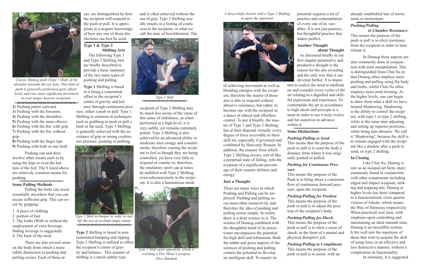potential requires a lot of practice and contemplation of every one of its variables. It is not just practice, but thoughtful practice that makes perfect.

#### **Another Thought about Thought**:

As discussed briefly in our

first chapter penetrative and productive thought is the reason for the arts revealing and the only way that it can develop further. It is important to realize the need to meditate on and consider every verity of the art relating to a dignified and skillful expression and experience. To contemplate the art in accordance to high ideals and precepts is a must in order to see it truly evolve and for ourselves to advance within it.

# **Some Distinctions**:

## *Pushing/Pulling to Send*:

This means that the purpose of the push or pull is to send the body a distance from where it was originally pushed or pulled.

# *Pushing for Continuous Pressure*:

This means the purpose of the Push is to bring about a consistent flow of continuous forward pressure; upon the recipient.

*Pushing/Pulling for Position*: This means the purpose of the push or pull is to adjust the position of the recipient's body.

# *Pushing/Pulling for Shock*:

This means the purpose of the push or pull is to elicit a sense of shock; in the form of a mental and physical disruptive jolt.

*Pushing/Pulling to Compliment*: This means the purpose of the push or pull is to assist; with an

and is often achieved without the use of grip. Type 2 Shifting usually results in a feeling of confusion to the recipient, or what we call the state of bewilderment. The



*in even larger, heavier recipients.* offset to the recipient's Type 1 Shift

recipient of Type 2 Shifting may be much less aware of the cause of this sense of imbalance, as when performed at a high level, it is very subtle, yet remains extremely potent. Type 2 Shifting is also achieved by an advanced ability to moderate ones energy and commitments, therefore causing the recipient to feel as though they are being controlled, yet have very little to respond or counter to, therefore, the retaliatory spirit can at times be nullified with Type 2 Shifting, even subconsciously in the recipient. It is also a harmonious mode

- **2**) Pushing palms outward.
- **3**) Pushing with the forearms.
- **4**) Pushing with the shoulders.
- **5**) Pushing with the inner elbows.
- **6**) Pushing with the fist, with grip. **7**) Pushing with the fist, without
- grip.
- **8**) Pushing with the finger tips.
- **9**) Pushing with both or one limb.

Pushing can and does involve other means such as by using the hips or even the bottom of the feet. The 9 listed above are relatively common means for pushing.

# **Some Pulling Methods**:

Pulling the body can occur essentially anywhere that you can secure sufficient grip. This can occur by gripping:

- 1. A piece of clothing
- 2. portion of hair

3. The limbs (With or without the employment of extra leverage, finding leverage is suggested) 4. The back of the neck.

There are also several areas on the body from which a more subtle distinction in pushing and pulling occurs. Each of these ar-

of achieving movement as well as blending energies with the recipient, therefore the master of these arts is able to respond without abrasive resistance, but rather, to become one with the recipient in a dance of ethical and effortless control. To put it bluntly, the master of Type 1 and Type 2 Shifting has at their disposal virtually every degree of force accessible to there skill set, especially if governed and confirmed by Heavenly Reason. In addition, the manner from which Type 2 Shifting occurs, sort of like a perpetual state of falling, robs the recipient of a significant percentage of their counter abilities and energy.

#### **Just a Thought**:

There are many ways in which Pushing and Pulling can be employed. Pushing and pulling occur most often instinctively and therefore the idea of pushing and pulling seems simple. In reality there is a deep science to it. The science of Dumog combined with the thoughtful mind of its practitioner encompasses the potential for high skill and refinement. Both the subtle and gross aspects of the sciences of pushing and pulling contain the potential to develop an intelligent skill. To master its

eas, are distinguished by how the recipient will respond to the push or pull. It is appropriate to a acquire knowledge of how any one of those distinctions can best be used.

# **Type 1 & Type 2 Shifting Arts**:

The following Type 1 and Type 2 Shifting Arts are briefly described to provide a basic summary of the two main types of pushing and pulling.

**Type 1** Shifting is based in it being a committed offset to the recipient's centre of gravity and bal-

ance through continuous pressure, either a push or pull. Type 1 Shifting is common in techniques such as grabbing to push or pull a limb or the neck. Type 1 Shifting is generally achieved with the assistance of grip or strong continuous pressure, pushing or pullong.

**Type 2** Shifting is based in noncommitted bumping and tipping. Type 2 Shifting is utilized to offset the recipient's centre of gravity and balance. This manner of shifting is a much subtler type

already established line of movement or momentum.

# *Pushing/Pulling*

 *to Chamber Resistance*: This means the purpose of the push or pull is to elicit resistance from the recipient in order to later release it.

In Dumog these aspects are also commonly done in conjunction with joint manipulation. This is distinguished from Chin Na in that Dumog often employs more pushing and pulling using the body and limbs, whilst Chin Na often employs more joint twisting. At the higher levels, one can begin to draw from what a skill we have termed Shadowing. Shadowing is the ability to control the recipient, with type 1 or type 2 shifting, while at the same time adjusting and setting up superior positions, while being non-abrasive. We call it 'Shadowing', because the skill is to remain engaged with the recipient like a shadow after a push to send, or type 2 shifting.

#### **In Closing**:

Like Chin Na, Dumog is rare as an isolated art form, more commonly found in conjunction with other components including edged and impact weapons, striking and trapping arts. Dumog at higher levels has been compared to a functionalized, close quarter version of Aikido, which means the Way of Harmony respectively. When practiced over time, with emphasis upon controlling and maintaining an ideal internal state, Dumog is an incredible system. It fits well into the repertoire of those that wish to acquire the skill of using force in an effective and less destructive manner, without a compromise in functionality.

In summary, it is suggested



*Type 1 Shift upon opponent, whom is wielding a Dos Mono's weapon. (Two Handed)*



*Type 1 Shift technique in order to nullify the use of wielded single rattan.*

<span id="page-4-0"></span>

 *Classic Dumog push (Type 1 Shift) of the shoulder towards the ear lobe, This kind of push is generally performed quite effortlessly and can cause significant movement* 

 $\sim$ 0000000000000

*A direct knife disarm with a Type 2 Shifting in upon the opponent*

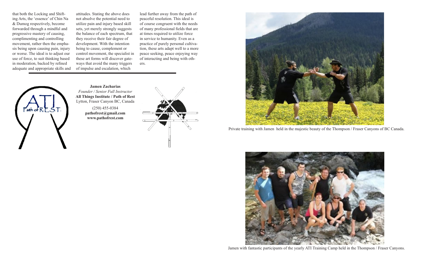that both the Locking and Shifting Arts, the 'essence' of Chin Na & Dumog respectively, become forwarded through a mindful and progressive mastery of causing, complimenting and controlling movement, rather then the emphasis being upon causing pain, injury or worse. The ideal is to adjust our use of force, to suit thinking based in moderation, backed by refined adequate and appropriate skills and

attitudes. Stating the above does not absolve the potential need to utilize pain and injury based skill sets, yet merely strongly suggests the balance of each spectrum, that they receive their fair degree of development. With the intention being to cause, complement or control movement, the specialist in these art forms will discover gateways that avoid the many triggers of impulse and escalation, which

lead further away from the path of peaceful resolution. This ideal is of course congruent with the needs of many professional fields that are at times required to utilize force in service to humanity. Even as a practice of purely personal cultivation, these arts adapt well to a more peace seeking, peace enjoying way of interacting and being with others.



**Jamen Zacharias** *Founder / Senior Full Instructor* **All Things Institute / Path of Rest** Lytton, Fraser Canyon BC, Canada

> (250) 455-0384 **[pathofrest@gmail.com](mailto:pathofrest@gmail.com) [www.pathofrest.com](http://www.pathofrest.com/)**





Private training with Jamen held in the majestic beauty of the Thompson / Fraser Canyons of BC Canada.



Jamen with fantastic participants of the yearly ATI Training Camp held in the Thompson / Fraser Canyons.